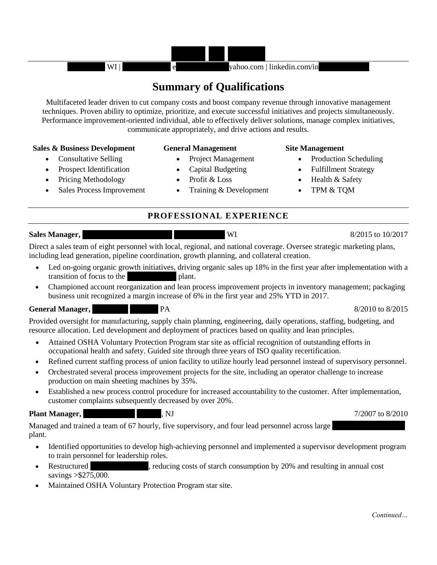

# **Summary of Qualifications**

Multifaceted leader driven to cut company costs and boost company revenue through innovative management techniques. Proven ability to optimize, prioritize, and execute successful initiatives and projects simultaneously. Performance improvement-oriented individual, able to effectively deliver solutions, manage complex initiatives, communicate appropriately, and drive actions and results.

# **Sales & Business Development General Management Site Management**

- Consultative Selling
- Prospect Identification
- Pricing Methodology
- Sales Process Improvement

- Project Management
- Capital Budgeting
- Profit & Loss
- Training & Development

- Production Scheduling
- Fulfillment Strategy
- Health & Safety
- TPM & TQM

# **PROFESSIONAL EXPERIENCE**

**Sales Manager, Sales Manager, Corporation, Chippewa Falls, WI 8/2015 to 10/2017** 

Direct a sales team of eight personnel with local, regional, and national coverage. Oversee strategic marketing plans, including lead generation, pipeline coordination, growth planning, and collateral creation.

- Led on-going organic growth initiatives, driving organic sales up 18% in the first year after implementation with a transition of focus to the plant.
- Championed account reorganization and lean process improvement projects in inventory management; packaging business unit recognized a margin increase of 6% in the first year and 25% YTD in 2017.

# **General Manager,** Figure Marketing, PA 8/2010 to 8/2015

Provided oversight for manufacturing, supply chain planning, engineering, daily operations, staffing, budgeting, and resource allocation. Led development and deployment of practices based on quality and lean principles.

- Attained OSHA Voluntary Protection Program star site as official recognition of outstanding efforts in occupational health and safety. Guided site through three years of ISO quality recertification.
- Refined current staffing process of union facility to utilize hourly lead personnel instead of supervisory personnel.
- Orchestrated several process improvement projects for the site, including an operator challenge to increase production on main sheeting machines by 35%.
- Established a new process control procedure for increased accountability to the customer. After implementation, customer complaints subsequently decreased by over 20%.

Managed and trained a team of 67 hourly, five supervisory, and four lead personnel across large plant.

- Identified opportunities to develop high-achieving personnel and implemented a supervisor development program to train personnel for leadership roles.
- Restructured entity reducing costs of starch consumption by 20% and resulting in annual cost savings >\$275,000.
- Maintained OSHA Voluntary Protection Program star site.

**Plant Manager, 2008/2010** (NJ 7/2007 to 8/2010)